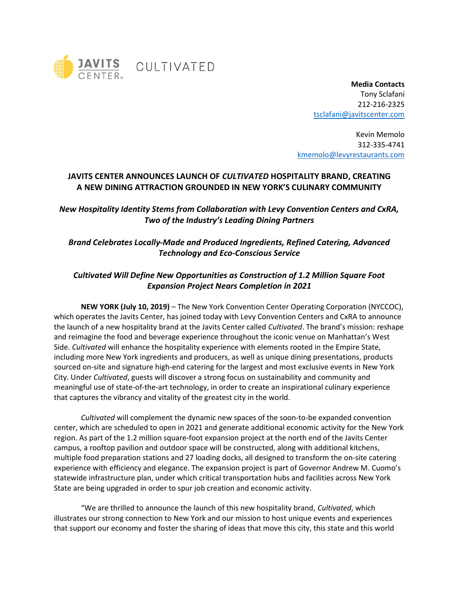

Media Contacts Tony Sclafani 212-216-2325 tsclafani@javitscenter.com

Kevin Memolo 312-335-4741 kmemolo@levyrestaurants.com

## JAVITS CENTER ANNOUNCES LAUNCH OF CULTIVATED HOSPITALITY BRAND, CREATING A NEW DINING ATTRACTION GROUNDED IN NEW YORK'S CULINARY COMMUNITY

New Hospitality Identity Stems from Collaboration with Levy Convention Centers and CxRA, Two of the Industry's Leading Dining Partners

## Brand Celebrates Locally-Made and Produced Ingredients, Refined Catering, Advanced Technology and Eco-Conscious Service

# Cultivated Will Define New Opportunities as Construction of 1.2 Million Square Foot Expansion Project Nears Completion in 2021

NEW YORK (July 10, 2019) – The New York Convention Center Operating Corporation (NYCCOC), which operates the Javits Center, has joined today with Levy Convention Centers and CxRA to announce the launch of a new hospitality brand at the Javits Center called Cultivated. The brand's mission: reshape and reimagine the food and beverage experience throughout the iconic venue on Manhattan's West Side. Cultivated will enhance the hospitality experience with elements rooted in the Empire State, including more New York ingredients and producers, as well as unique dining presentations, products sourced on-site and signature high-end catering for the largest and most exclusive events in New York City. Under Cultivated, guests will discover a strong focus on sustainability and community and meaningful use of state-of-the-art technology, in order to create an inspirational culinary experience that captures the vibrancy and vitality of the greatest city in the world.

Cultivated will complement the dynamic new spaces of the soon-to-be expanded convention center, which are scheduled to open in 2021 and generate additional economic activity for the New York region. As part of the 1.2 million square-foot expansion project at the north end of the Javits Center campus, a rooftop pavilion and outdoor space will be constructed, along with additional kitchens, multiple food preparation stations and 27 loading docks, all designed to transform the on-site catering experience with efficiency and elegance. The expansion project is part of Governor Andrew M. Cuomo's statewide infrastructure plan, under which critical transportation hubs and facilities across New York State are being upgraded in order to spur job creation and economic activity.

"We are thrilled to announce the launch of this new hospitality brand, Cultivated, which illustrates our strong connection to New York and our mission to host unique events and experiences that support our economy and foster the sharing of ideas that move this city, this state and this world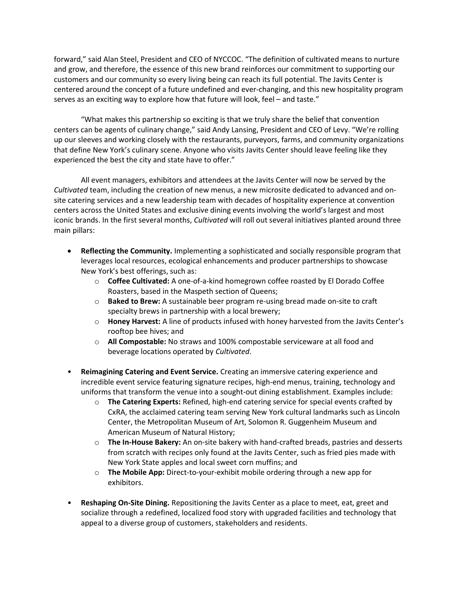forward," said Alan Steel, President and CEO of NYCCOC. "The definition of cultivated means to nurture and grow, and therefore, the essence of this new brand reinforces our commitment to supporting our customers and our community so every living being can reach its full potential. The Javits Center is centered around the concept of a future undefined and ever-changing, and this new hospitality program serves as an exciting way to explore how that future will look, feel – and taste."

"What makes this partnership so exciting is that we truly share the belief that convention centers can be agents of culinary change," said Andy Lansing, President and CEO of Levy. "We're rolling up our sleeves and working closely with the restaurants, purveyors, farms, and community organizations that define New York's culinary scene. Anyone who visits Javits Center should leave feeling like they experienced the best the city and state have to offer."

All event managers, exhibitors and attendees at the Javits Center will now be served by the Cultivated team, including the creation of new menus, a new microsite dedicated to advanced and onsite catering services and a new leadership team with decades of hospitality experience at convention centers across the United States and exclusive dining events involving the world's largest and most iconic brands. In the first several months, Cultivated will roll out several initiatives planted around three main pillars:

- Reflecting the Community. Implementing a sophisticated and socially responsible program that leverages local resources, ecological enhancements and producer partnerships to showcase New York's best offerings, such as:
	- $\circ$  Coffee Cultivated: A one-of-a-kind homegrown coffee roasted by El Dorado Coffee Roasters, based in the Maspeth section of Queens;
	- $\circ$  Baked to Brew: A sustainable beer program re-using bread made on-site to craft specialty brews in partnership with a local brewery;
	- $\circ$  Honey Harvest: A line of products infused with honey harvested from the Javits Center's rooftop bee hives; and
	- o All Compostable: No straws and 100% compostable serviceware at all food and beverage locations operated by Cultivated.
- Reimagining Catering and Event Service. Creating an immersive catering experience and incredible event service featuring signature recipes, high-end menus, training, technology and uniforms that transform the venue into a sought-out dining establishment. Examples include:
	- $\circ$  The Catering Experts: Refined, high-end catering service for special events crafted by CxRA, the acclaimed catering team serving New York cultural landmarks such as Lincoln Center, the Metropolitan Museum of Art, Solomon R. Guggenheim Museum and American Museum of Natural History;
	- $\circ$  The In-House Bakery: An on-site bakery with hand-crafted breads, pastries and desserts from scratch with recipes only found at the Javits Center, such as fried pies made with New York State apples and local sweet corn muffins; and
	- $\circ$  The Mobile App: Direct-to-your-exhibit mobile ordering through a new app for exhibitors.
- Reshaping On-Site Dining. Repositioning the Javits Center as a place to meet, eat, greet and socialize through a redefined, localized food story with upgraded facilities and technology that appeal to a diverse group of customers, stakeholders and residents.